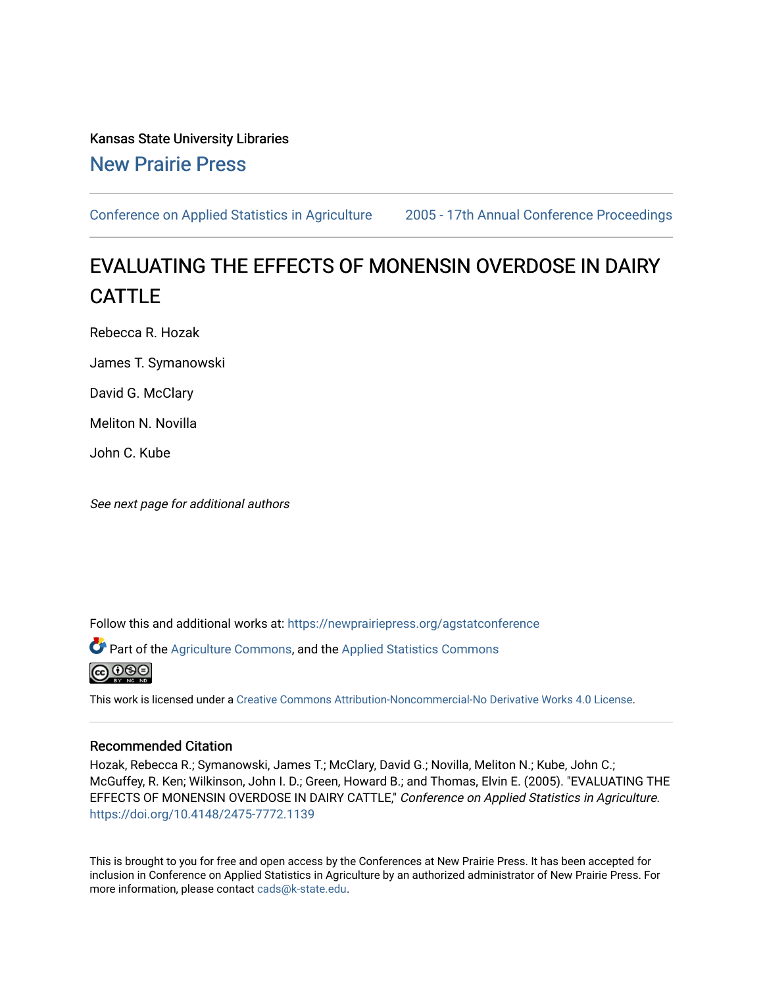Kansas State University Libraries [New Prairie Press](https://newprairiepress.org/) 

[Conference on Applied Statistics in Agriculture](https://newprairiepress.org/agstatconference) [2005 - 17th Annual Conference Proceedings](https://newprairiepress.org/agstatconference/2005) 

# EVALUATING THE EFFECTS OF MONENSIN OVERDOSE IN DAIRY CATTLE

Rebecca R. Hozak

James T. Symanowski

David G. McClary

Meliton N. Novilla

John C. Kube

See next page for additional authors

Follow this and additional works at: [https://newprairiepress.org/agstatconference](https://newprairiepress.org/agstatconference?utm_source=newprairiepress.org%2Fagstatconference%2F2005%2Fproceedings%2F9&utm_medium=PDF&utm_campaign=PDFCoverPages)

Part of the [Agriculture Commons](http://network.bepress.com/hgg/discipline/1076?utm_source=newprairiepress.org%2Fagstatconference%2F2005%2Fproceedings%2F9&utm_medium=PDF&utm_campaign=PDFCoverPages), and the [Applied Statistics Commons](http://network.bepress.com/hgg/discipline/209?utm_source=newprairiepress.org%2Fagstatconference%2F2005%2Fproceedings%2F9&utm_medium=PDF&utm_campaign=PDFCoverPages) 



This work is licensed under a [Creative Commons Attribution-Noncommercial-No Derivative Works 4.0 License.](https://creativecommons.org/licenses/by-nc-nd/4.0/)

#### Recommended Citation

Hozak, Rebecca R.; Symanowski, James T.; McClary, David G.; Novilla, Meliton N.; Kube, John C.; McGuffey, R. Ken; Wilkinson, John I. D.; Green, Howard B.; and Thomas, Elvin E. (2005). "EVALUATING THE EFFECTS OF MONENSIN OVERDOSE IN DAIRY CATTLE," Conference on Applied Statistics in Agriculture. <https://doi.org/10.4148/2475-7772.1139>

This is brought to you for free and open access by the Conferences at New Prairie Press. It has been accepted for inclusion in Conference on Applied Statistics in Agriculture by an authorized administrator of New Prairie Press. For more information, please contact [cads@k-state.edu](mailto:cads@k-state.edu).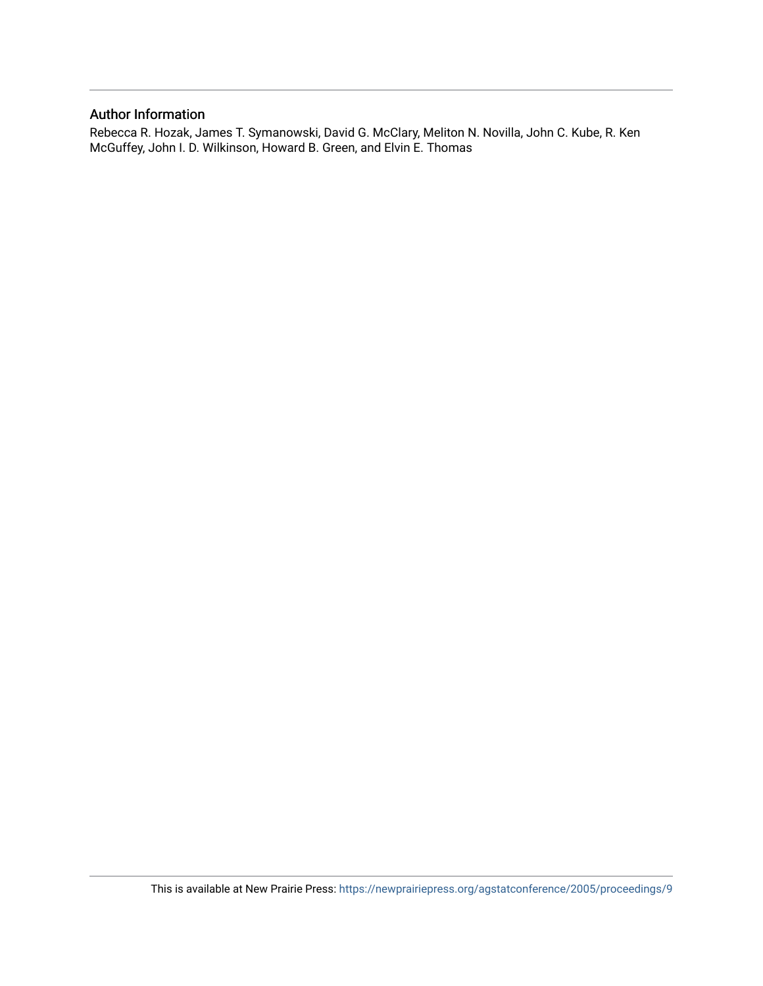#### Author Information

Rebecca R. Hozak, James T. Symanowski, David G. McClary, Meliton N. Novilla, John C. Kube, R. Ken McGuffey, John I. D. Wilkinson, Howard B. Green, and Elvin E. Thomas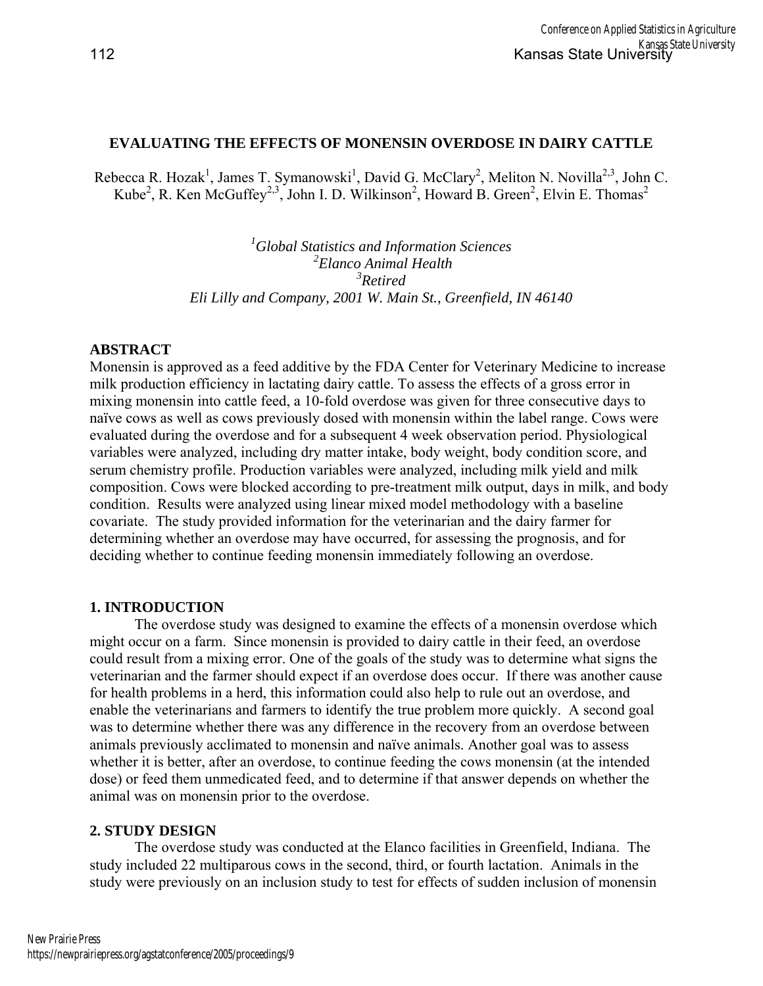## **EVALUATING THE EFFECTS OF MONENSIN OVERDOSE IN DAIRY CATTLE**

Rebecca R. Hozak<sup>1</sup>, James T. Symanowski<sup>1</sup>, David G. McClary<sup>2</sup>, Meliton N. Novilla<sup>2,3</sup>, John C. Kube<sup>2</sup>, R. Ken McGuffey<sup>2,3</sup>, John I. D. Wilkinson<sup>2</sup>, Howard B. Green<sup>2</sup>, Elvin E. Thomas<sup>2</sup>

> *1 Global Statistics and Information Sciences 2 Elanco Animal Health 3 Retired Eli Lilly and Company, 2001 W. Main St., Greenfield, IN 46140*

## **ABSTRACT**

Monensin is approved as a feed additive by the FDA Center for Veterinary Medicine to increase milk production efficiency in lactating dairy cattle. To assess the effects of a gross error in mixing monensin into cattle feed, a 10-fold overdose was given for three consecutive days to naïve cows as well as cows previously dosed with monensin within the label range. Cows were evaluated during the overdose and for a subsequent 4 week observation period. Physiological variables were analyzed, including dry matter intake, body weight, body condition score, and serum chemistry profile. Production variables were analyzed, including milk yield and milk composition. Cows were blocked according to pre-treatment milk output, days in milk, and body condition. Results were analyzed using linear mixed model methodology with a baseline covariate. The study provided information for the veterinarian and the dairy farmer for determining whether an overdose may have occurred, for assessing the prognosis, and for deciding whether to continue feeding monensin immediately following an overdose.

## **1. INTRODUCTION**

The overdose study was designed to examine the effects of a monensin overdose which might occur on a farm. Since monensin is provided to dairy cattle in their feed, an overdose could result from a mixing error. One of the goals of the study was to determine what signs the veterinarian and the farmer should expect if an overdose does occur. If there was another cause for health problems in a herd, this information could also help to rule out an overdose, and enable the veterinarians and farmers to identify the true problem more quickly. A second goal was to determine whether there was any difference in the recovery from an overdose between animals previously acclimated to monensin and naïve animals. Another goal was to assess whether it is better, after an overdose, to continue feeding the cows monensin (at the intended dose) or feed them unmedicated feed, and to determine if that answer depends on whether the animal was on monensin prior to the overdose.

## **2. STUDY DESIGN**

The overdose study was conducted at the Elanco facilities in Greenfield, Indiana. The study included 22 multiparous cows in the second, third, or fourth lactation. Animals in the study were previously on an inclusion study to test for effects of sudden inclusion of monensin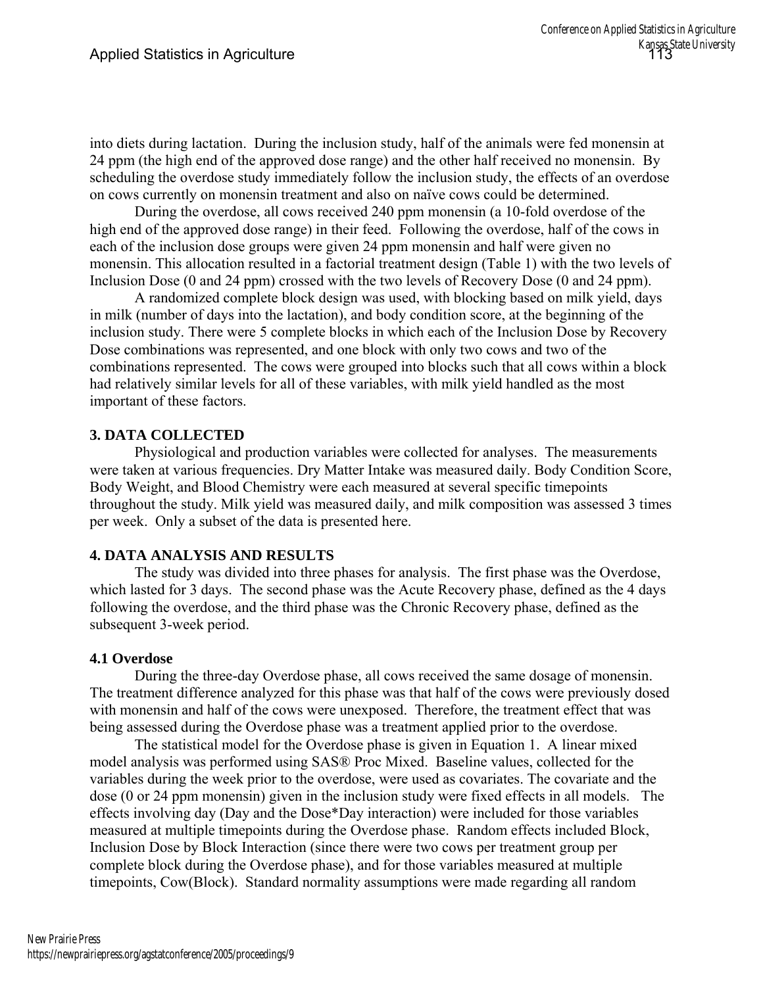into diets during lactation. During the inclusion study, half of the animals were fed monensin at 24 ppm (the high end of the approved dose range) and the other half received no monensin. By scheduling the overdose study immediately follow the inclusion study, the effects of an overdose on cows currently on monensin treatment and also on naïve cows could be determined.

During the overdose, all cows received 240 ppm monensin (a 10-fold overdose of the high end of the approved dose range) in their feed. Following the overdose, half of the cows in each of the inclusion dose groups were given 24 ppm monensin and half were given no monensin. This allocation resulted in a factorial treatment design (Table 1) with the two levels of Inclusion Dose (0 and 24 ppm) crossed with the two levels of Recovery Dose (0 and 24 ppm).

A randomized complete block design was used, with blocking based on milk yield, days in milk (number of days into the lactation), and body condition score, at the beginning of the inclusion study. There were 5 complete blocks in which each of the Inclusion Dose by Recovery Dose combinations was represented, and one block with only two cows and two of the combinations represented. The cows were grouped into blocks such that all cows within a block had relatively similar levels for all of these variables, with milk yield handled as the most important of these factors.

## **3. DATA COLLECTED**

Physiological and production variables were collected for analyses. The measurements were taken at various frequencies. Dry Matter Intake was measured daily. Body Condition Score, Body Weight, and Blood Chemistry were each measured at several specific timepoints throughout the study. Milk yield was measured daily, and milk composition was assessed 3 times per week. Only a subset of the data is presented here.

## **4. DATA ANALYSIS AND RESULTS**

The study was divided into three phases for analysis. The first phase was the Overdose, which lasted for 3 days. The second phase was the Acute Recovery phase, defined as the 4 days following the overdose, and the third phase was the Chronic Recovery phase, defined as the subsequent 3-week period.

## **4.1 Overdose**

During the three-day Overdose phase, all cows received the same dosage of monensin. The treatment difference analyzed for this phase was that half of the cows were previously dosed with monensin and half of the cows were unexposed. Therefore, the treatment effect that was being assessed during the Overdose phase was a treatment applied prior to the overdose.

The statistical model for the Overdose phase is given in Equation 1. A linear mixed model analysis was performed using SAS® Proc Mixed. Baseline values, collected for the variables during the week prior to the overdose, were used as covariates. The covariate and the dose (0 or 24 ppm monensin) given in the inclusion study were fixed effects in all models. The effects involving day (Day and the Dose\*Day interaction) were included for those variables measured at multiple timepoints during the Overdose phase. Random effects included Block, Inclusion Dose by Block Interaction (since there were two cows per treatment group per complete block during the Overdose phase), and for those variables measured at multiple timepoints, Cow(Block). Standard normality assumptions were made regarding all random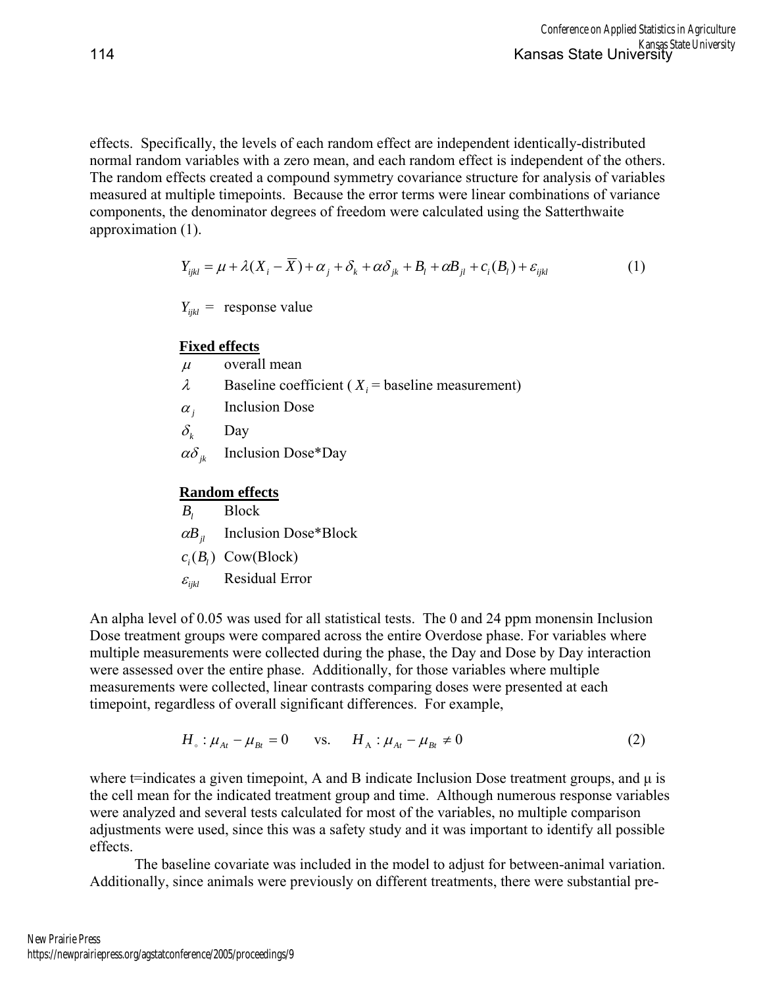effects. Specifically, the levels of each random effect are independent identically-distributed normal random variables with a zero mean, and each random effect is independent of the others. The random effects created a compound symmetry covariance structure for analysis of variables measured at multiple timepoints. Because the error terms were linear combinations of variance components, the denominator degrees of freedom were calculated using the Satterthwaite approximation (1).

$$
Y_{ijkl} = \mu + \lambda (X_i - \overline{X}) + \alpha_j + \delta_k + \alpha \delta_{jk} + B_l + \alpha B_{jl} + c_i (B_l) + \varepsilon_{ijkl}
$$
 (1)

 $Y_{ijkl}$  = response value

#### **Fixed effects**

- $\mu$  overall mean
- $\lambda$  Baseline coefficient ( $X_i$  = baseline measurement)
- $\alpha_i$  Inclusion Dose
- $\delta_k$  Day
- $\alpha\delta_{ik}$  Inclusion Dose\*Day

#### **Random effects**

*Bl* Block  $\alpha B_{ij}$  Inclusion Dose\*Block  $c_i(B_i)$  Cow(Block)  $\varepsilon_{ijkl}$  Residual Error

An alpha level of 0.05 was used for all statistical tests. The 0 and 24 ppm monensin Inclusion Dose treatment groups were compared across the entire Overdose phase. For variables where multiple measurements were collected during the phase, the Day and Dose by Day interaction were assessed over the entire phase. Additionally, for those variables where multiple measurements were collected, linear contrasts comparing doses were presented at each timepoint, regardless of overall significant differences. For example,

$$
H_{\circ}: \mu_{At} - \mu_{Bt} = 0
$$
 vs.  $H_{A}: \mu_{At} - \mu_{Bt} \neq 0$  (2)

where  $t$ =indicates a given timepoint, A and B indicate Inclusion Dose treatment groups, and  $\mu$  is the cell mean for the indicated treatment group and time. Although numerous response variables were analyzed and several tests calculated for most of the variables, no multiple comparison adjustments were used, since this was a safety study and it was important to identify all possible effects.

The baseline covariate was included in the model to adjust for between-animal variation. Additionally, since animals were previously on different treatments, there were substantial pre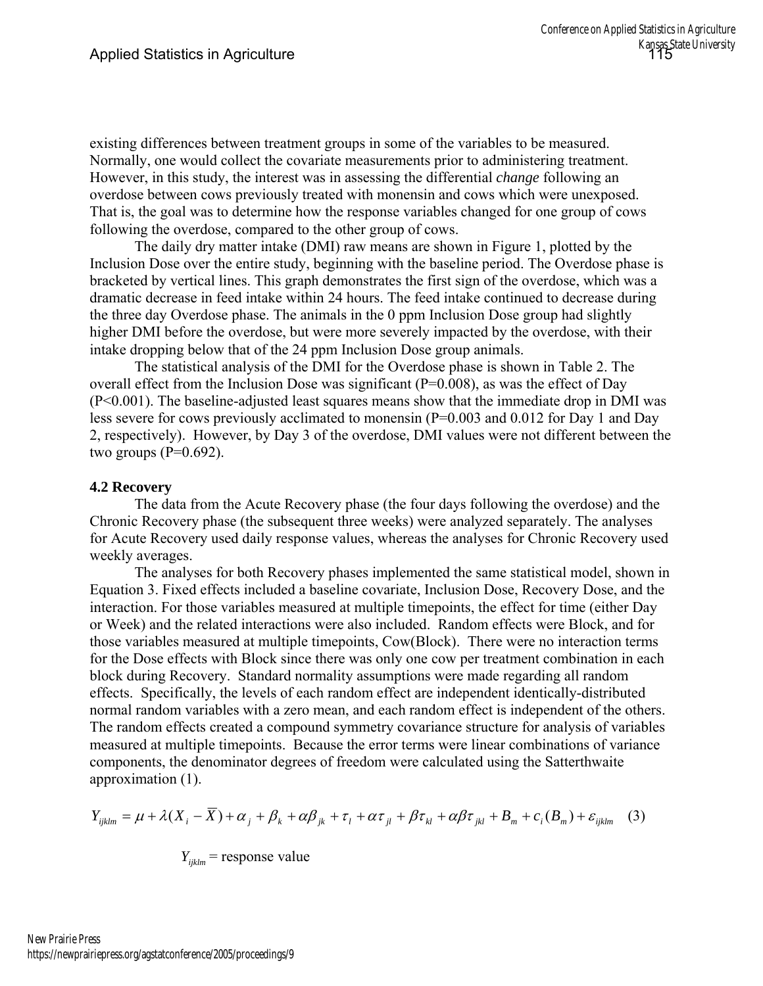existing differences between treatment groups in some of the variables to be measured. Normally, one would collect the covariate measurements prior to administering treatment. However, in this study, the interest was in assessing the differential *change* following an overdose between cows previously treated with monensin and cows which were unexposed. That is, the goal was to determine how the response variables changed for one group of cows following the overdose, compared to the other group of cows.

The daily dry matter intake (DMI) raw means are shown in Figure 1, plotted by the Inclusion Dose over the entire study, beginning with the baseline period. The Overdose phase is bracketed by vertical lines. This graph demonstrates the first sign of the overdose, which was a dramatic decrease in feed intake within 24 hours. The feed intake continued to decrease during the three day Overdose phase. The animals in the 0 ppm Inclusion Dose group had slightly higher DMI before the overdose, but were more severely impacted by the overdose, with their intake dropping below that of the 24 ppm Inclusion Dose group animals.

The statistical analysis of the DMI for the Overdose phase is shown in Table 2. The overall effect from the Inclusion Dose was significant (P=0.008), as was the effect of Day (P<0.001). The baseline-adjusted least squares means show that the immediate drop in DMI was less severe for cows previously acclimated to monensin (P=0.003 and 0.012 for Day 1 and Day 2, respectively). However, by Day 3 of the overdose, DMI values were not different between the two groups  $(P=0.692)$ .

# **4.2 Recovery**

The data from the Acute Recovery phase (the four days following the overdose) and the Chronic Recovery phase (the subsequent three weeks) were analyzed separately. The analyses for Acute Recovery used daily response values, whereas the analyses for Chronic Recovery used weekly averages.

The analyses for both Recovery phases implemented the same statistical model, shown in Equation 3. Fixed effects included a baseline covariate, Inclusion Dose, Recovery Dose, and the interaction. For those variables measured at multiple timepoints, the effect for time (either Day or Week) and the related interactions were also included. Random effects were Block, and for those variables measured at multiple timepoints, Cow(Block). There were no interaction terms for the Dose effects with Block since there was only one cow per treatment combination in each block during Recovery. Standard normality assumptions were made regarding all random effects. Specifically, the levels of each random effect are independent identically-distributed normal random variables with a zero mean, and each random effect is independent of the others. The random effects created a compound symmetry covariance structure for analysis of variables measured at multiple timepoints. Because the error terms were linear combinations of variance components, the denominator degrees of freedom were calculated using the Satterthwaite approximation (1).

$$
Y_{ijklm} = \mu + \lambda (X_i - \overline{X}) + \alpha_j + \beta_k + \alpha \beta_{jk} + \tau_l + \alpha \tau_{jl} + \beta \tau_{kl} + \alpha \beta \tau_{jkl} + B_m + c_i (B_m) + \varepsilon_{ijklm} \tag{3}
$$

= response value *Yijklm*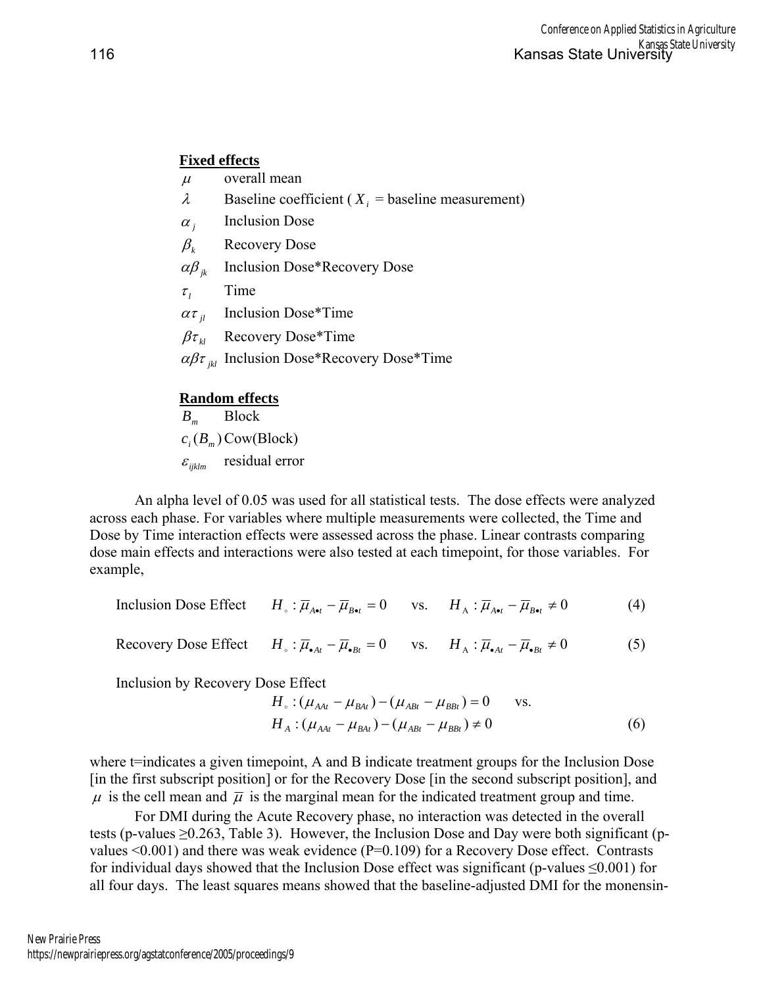## **Fixed effects**

- $\mu$  overall mean
- $\lambda$  Baseline coefficient ( $X_i$  = baseline measurement)
- $\alpha_i$  Inclusion Dose
- $\beta_k$  Recovery Dose
- αβ *jk* Inclusion Dose\*Recovery Dose
- $\tau$ <sup>*l*</sup> Time
- $\alpha \tau_{ii}$  Inclusion Dose\*Time
- $\beta \tau_{\mu}$  Recovery Dose\*Time
- αβτ *jkl* Inclusion Dose\*Recovery Dose\*Time

# **Random effects**

*Bm* Block  $c_i(B_m)$  Cow(Block)  $\varepsilon$ <sub>iiklm</sub> residual error

An alpha level of 0.05 was used for all statistical tests. The dose effects were analyzed across each phase. For variables where multiple measurements were collected, the Time and Dose by Time interaction effects were assessed across the phase. Linear contrasts comparing dose main effects and interactions were also tested at each timepoint, for those variables. For example,

Inclusion Dose Effect  $H_{\circ}$ :  $\overline{\mu}_{A_{\bullet\bullet\bullet}} - \overline{\mu}_{B_{\bullet\bullet\bullet}} = 0$  vs.  $H_{\wedge}$ :  $\overline{\mu}_{A_{\bullet\bullet\bullet}} - \overline{\mu}_{B_{\bullet\bullet\bullet}} \neq 0$  (4)

$$
\text{Recovery Dose Effect} \qquad H_{\circ} : \overline{\mu}_{\bullet At} - \overline{\mu}_{\bullet Bt} = 0 \qquad \text{vs.} \qquad H_{\text{A}} : \overline{\mu}_{\bullet At} - \overline{\mu}_{\bullet Bt} \neq 0 \tag{5}
$$

Inclusion by Recovery Dose Effect

$$
H_{\circ} : (\mu_{AAt} - \mu_{BAt}) - (\mu_{ABt} - \mu_{BBt}) = 0 \quad \text{vs.}
$$
  
\n
$$
H_{A} : (\mu_{AAt} - \mu_{BAt}) - (\mu_{ABt} - \mu_{BBt}) \neq 0
$$
\n(6)

where t=indicates a given timepoint, A and B indicate treatment groups for the Inclusion Dose [in the first subscript position] or for the Recovery Dose [in the second subscript position], and  $\mu$  is the cell mean and  $\bar{\mu}$  is the marginal mean for the indicated treatment group and time.

For DMI during the Acute Recovery phase, no interaction was detected in the overall tests (p-values ≥0.263, Table 3). However, the Inclusion Dose and Day were both significant (pvalues  $\leq 0.001$ ) and there was weak evidence (P=0.109) for a Recovery Dose effect. Contrasts for individual days showed that the Inclusion Dose effect was significant (p-values  $\leq 0.001$ ) for all four days. The least squares means showed that the baseline-adjusted DMI for the monensin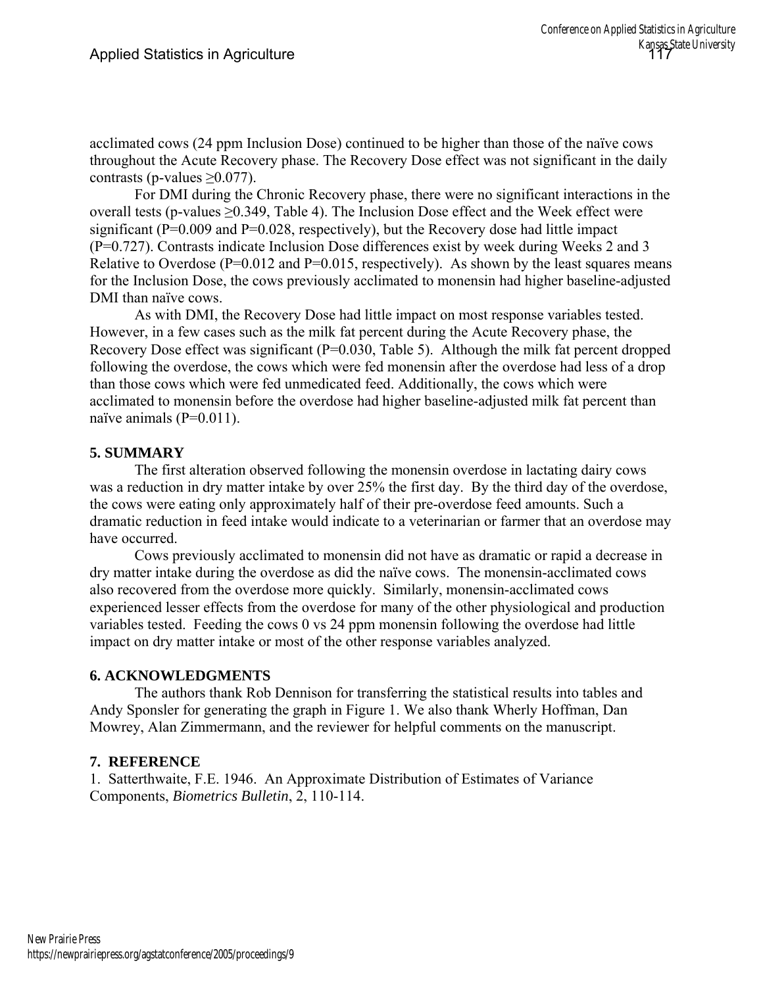acclimated cows (24 ppm Inclusion Dose) continued to be higher than those of the naïve cows throughout the Acute Recovery phase. The Recovery Dose effect was not significant in the daily contrasts (p-values  $\geq 0.077$ ).

For DMI during the Chronic Recovery phase, there were no significant interactions in the overall tests (p-values  $\geq 0.349$ , Table 4). The Inclusion Dose effect and the Week effect were significant ( $P=0.009$  and  $P=0.028$ , respectively), but the Recovery dose had little impact (P=0.727). Contrasts indicate Inclusion Dose differences exist by week during Weeks 2 and 3 Relative to Overdose ( $P=0.012$  and  $P=0.015$ , respectively). As shown by the least squares means for the Inclusion Dose, the cows previously acclimated to monensin had higher baseline-adjusted DMI than naïve cows.

As with DMI, the Recovery Dose had little impact on most response variables tested. However, in a few cases such as the milk fat percent during the Acute Recovery phase, the Recovery Dose effect was significant (P=0.030, Table 5). Although the milk fat percent dropped following the overdose, the cows which were fed monensin after the overdose had less of a drop than those cows which were fed unmedicated feed. Additionally, the cows which were acclimated to monensin before the overdose had higher baseline-adjusted milk fat percent than naïve animals (P=0.011).

# **5. SUMMARY**

The first alteration observed following the monensin overdose in lactating dairy cows was a reduction in dry matter intake by over 25% the first day. By the third day of the overdose, the cows were eating only approximately half of their pre-overdose feed amounts. Such a dramatic reduction in feed intake would indicate to a veterinarian or farmer that an overdose may have occurred.

Cows previously acclimated to monensin did not have as dramatic or rapid a decrease in dry matter intake during the overdose as did the naïve cows. The monensin-acclimated cows also recovered from the overdose more quickly. Similarly, monensin-acclimated cows experienced lesser effects from the overdose for many of the other physiological and production variables tested. Feeding the cows 0 vs 24 ppm monensin following the overdose had little impact on dry matter intake or most of the other response variables analyzed.

## **6. ACKNOWLEDGMENTS**

 The authors thank Rob Dennison for transferring the statistical results into tables and Andy Sponsler for generating the graph in Figure 1. We also thank Wherly Hoffman, Dan Mowrey, Alan Zimmermann, and the reviewer for helpful comments on the manuscript.

## **7. REFERENCE**

1. Satterthwaite, F.E. 1946. An Approximate Distribution of Estimates of Variance Components, *Biometrics Bulletin*, 2, 110-114.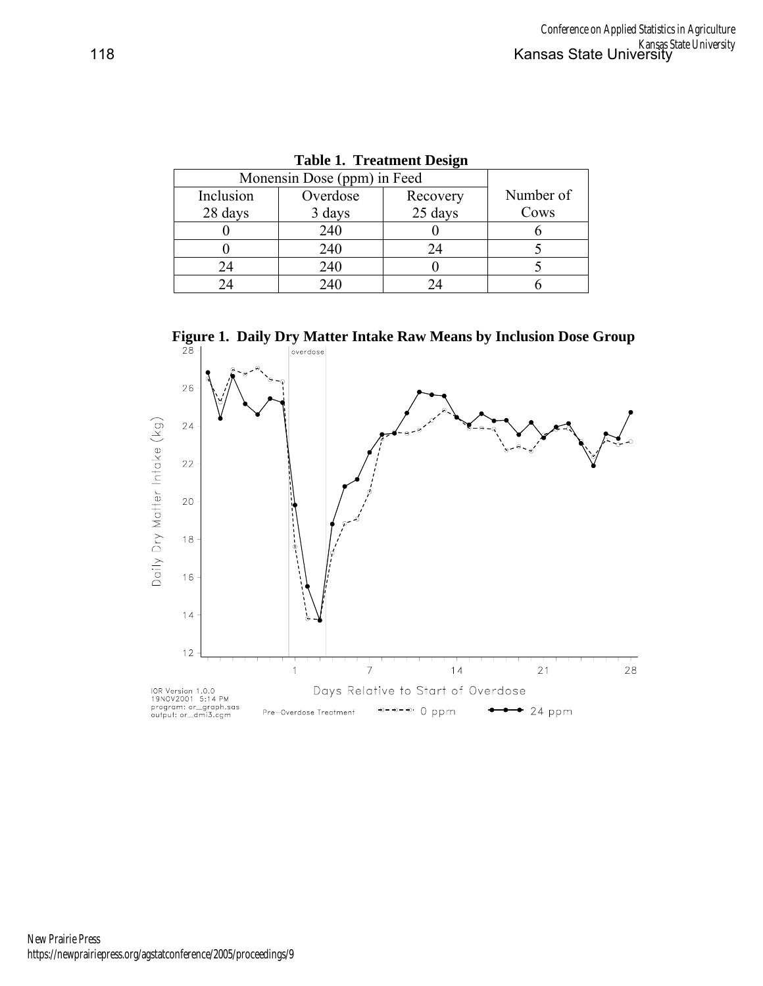|           | Monensin Dose (ppm) in Feed |          |           |  |  |
|-----------|-----------------------------|----------|-----------|--|--|
| Inclusion | Overdose                    | Recovery | Number of |  |  |
| 28 days   | 3 days                      | 25 days  | Cows      |  |  |
|           | 240                         |          |           |  |  |
|           | 240                         | 24       |           |  |  |
| 24        | 240                         |          |           |  |  |
|           | 240                         |          |           |  |  |

|  | <b>Table 1. Treatment Design</b> |
|--|----------------------------------|
|--|----------------------------------|

**Figure 1. Daily Dry Matter Intake Raw Means by Inclusion Dose Group**  $\frac{28}{1}$ 

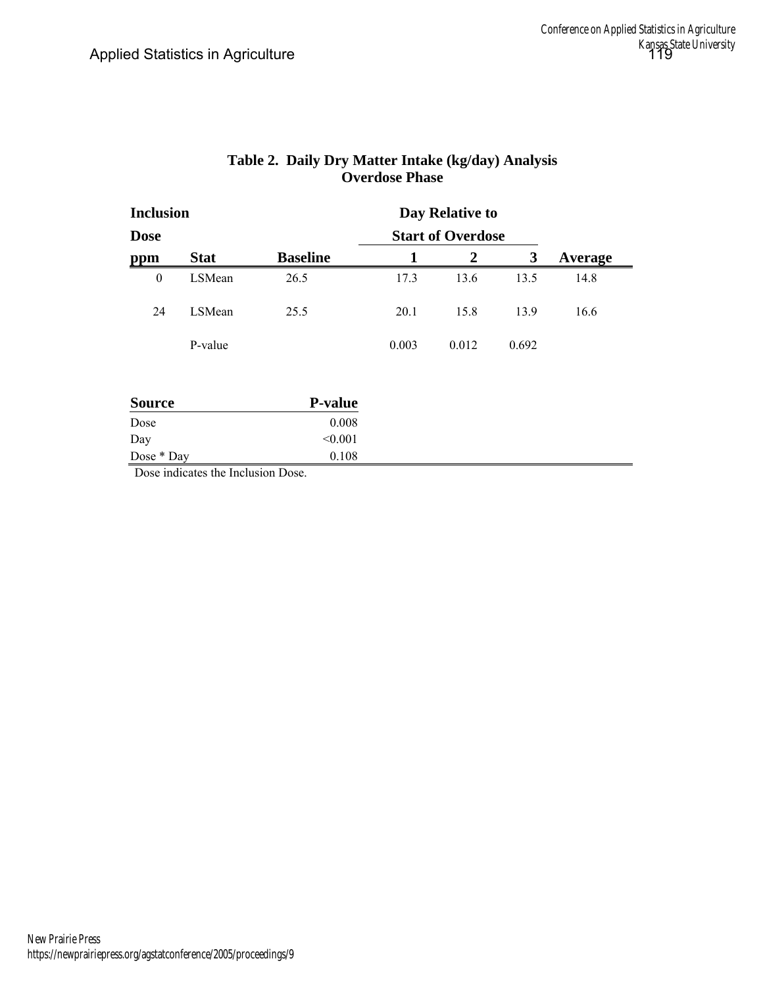| <b>Inclusion</b> |             |                 |       | Day Relative to          |       |         |
|------------------|-------------|-----------------|-------|--------------------------|-------|---------|
| <b>Dose</b>      |             |                 |       | <b>Start of Overdose</b> |       |         |
| ppm              | <b>Stat</b> | <b>Baseline</b> | 1     | 2                        | 3     | Average |
| $\boldsymbol{0}$ | LSMean      | 26.5            | 17.3  | 13.6                     | 13.5  | 14.8    |
| 24               | LSMean      | 25.5            | 20.1  | 15.8                     | 13.9  | 16.6    |
|                  | P-value     |                 | 0.003 | 0.012                    | 0.692 |         |
| <b>Source</b>    |             | <b>P-value</b>  |       |                          |       |         |
| Dose             |             | 0.008           |       |                          |       |         |
| Day              |             | < 0.001         |       |                          |       |         |
| Dose * Day       |             | 0.108           |       |                          |       |         |

## **Table 2. Daily Dry Matter Intake (kg/day) Analysis Overdose Phase**

Dose indicates the Inclusion Dose.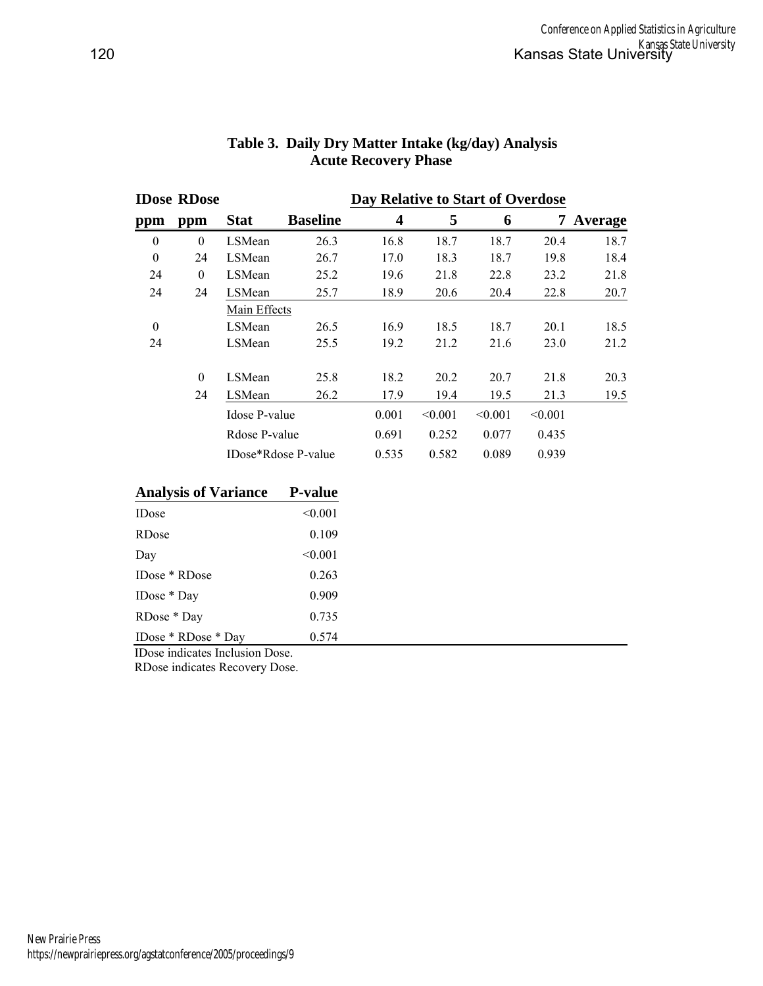|          | <b>IDose RDose</b> |                     |                 | Day Relative to Start of Overdose |         |         |         |         |
|----------|--------------------|---------------------|-----------------|-----------------------------------|---------|---------|---------|---------|
| ppm      | ppm                | <b>Stat</b>         | <b>Baseline</b> | $\overline{\mathbf{4}}$           | 5       | 6       | 7       | Average |
| $\theta$ | $\theta$           | LSMean              | 26.3            | 16.8                              | 18.7    | 18.7    | 20.4    | 18.7    |
| $\theta$ | 24                 | LSMean              | 26.7            | 17.0                              | 18.3    | 18.7    | 19.8    | 18.4    |
| 24       | $\mathbf{0}$       | LSMean              | 25.2            | 19.6                              | 21.8    | 22.8    | 23.2    | 21.8    |
| 24       | 24                 | LSMean              | 25.7            | 18.9                              | 20.6    | 20.4    | 22.8    | 20.7    |
|          |                    | Main Effects        |                 |                                   |         |         |         |         |
| $\theta$ |                    | LSMean              | 26.5            | 16.9                              | 18.5    | 18.7    | 20.1    | 18.5    |
| 24       |                    | LSMean              | 25.5            | 19.2                              | 21.2    | 21.6    | 23.0    | 21.2    |
|          |                    |                     |                 |                                   |         |         |         |         |
|          | $\theta$           | LSMean              | 25.8            | 18.2                              | 20.2    | 20.7    | 21.8    | 20.3    |
|          | 24                 | LSMean              | 26.2            | 17.9                              | 19.4    | 19.5    | 21.3    | 19.5    |
|          |                    | Idose P-value       |                 | 0.001                             | < 0.001 | < 0.001 | < 0.001 |         |
|          |                    | Rdose P-value       |                 | 0.691                             | 0.252   | 0.077   | 0.435   |         |
|          |                    | IDose*Rdose P-value |                 | 0.535                             | 0.582   | 0.089   | 0.939   |         |
|          |                    |                     |                 |                                   |         |         |         |         |

## **Table 3. Daily Dry Matter Intake (kg/day) Analysis Acute Recovery Phase**

#### **Analysis of Variance P-value**

| <b>IDose</b>        | < 0.001 |  |
|---------------------|---------|--|
| <b>RD</b> ose       | 0.109   |  |
| Day                 | < 0.001 |  |
| IDose * RDose       | 0.263   |  |
| IDose $*$ Day       | 0.909   |  |
| RDose * Day         | 0.735   |  |
| IDose * RDose * Day | 0.574   |  |

IDose indicates Inclusion Dose.

RDose indicates Recovery Dose.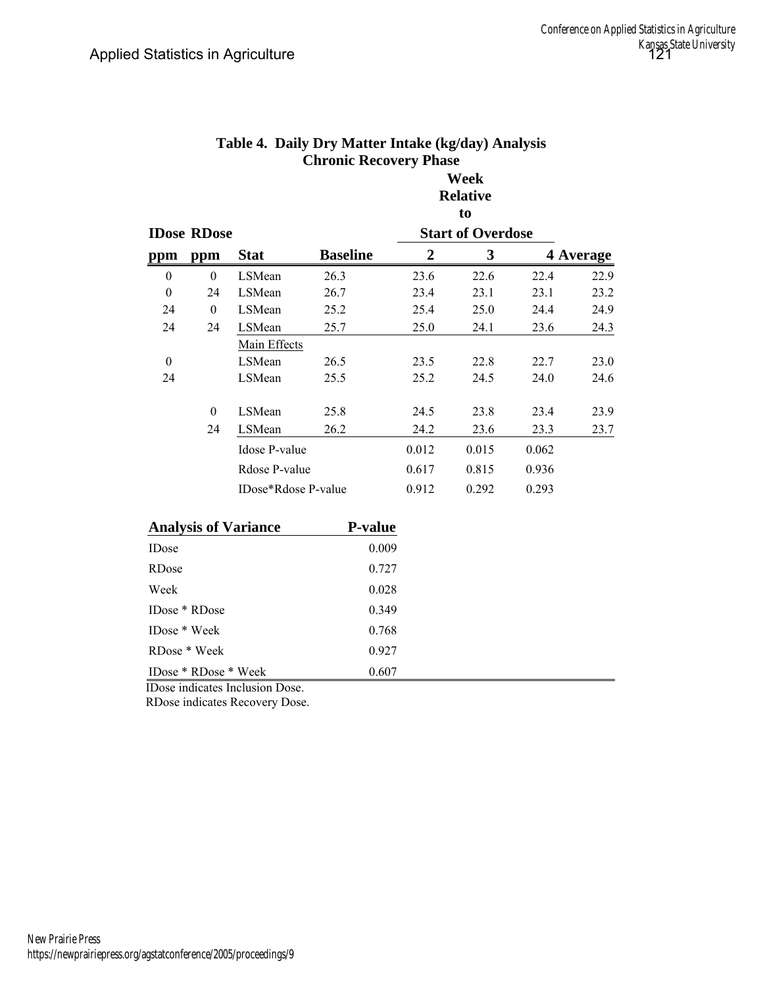|                  |                      |                             |                 |                  | to                       |       |           |
|------------------|----------------------|-----------------------------|-----------------|------------------|--------------------------|-------|-----------|
|                  | <b>IDose RDose</b>   |                             |                 |                  | <b>Start of Overdose</b> |       |           |
| ppm              | ppm                  | <b>Stat</b>                 | <b>Baseline</b> | $\boldsymbol{2}$ | $\mathbf{3}$             |       | 4 Average |
| $\boldsymbol{0}$ | $\theta$             | LSMean                      | 26.3            | 23.6             | 22.6                     | 22.4  | 22.9      |
| $\boldsymbol{0}$ | 24                   | LSMean                      | 26.7            | 23.4             | 23.1                     | 23.1  | 23.2      |
| 24               | $\overline{0}$       | LSMean                      | 25.2            | 25.4             | 25.0                     | 24.4  | 24.9      |
| 24               | 24                   | LSMean                      | 25.7            | 25.0             | 24.1                     | 23.6  | 24.3      |
|                  |                      | Main Effects                |                 |                  |                          |       |           |
| $\theta$         |                      | LSMean                      | 26.5            | 23.5             | 22.8                     | 22.7  | 23.0      |
| 24               |                      | LSMean                      | 25.5            | 25.2             | 24.5                     | 24.0  | 24.6      |
|                  |                      |                             |                 |                  |                          |       |           |
|                  | $\theta$             | LSMean                      | 25.8            | 24.5             | 23.8                     | 23.4  | 23.9      |
|                  | 24                   | LSMean                      | 26.2            | 24.2             | 23.6                     | 23.3  | 23.7      |
|                  |                      | Idose P-value               |                 | 0.012            | 0.015                    | 0.062 |           |
|                  |                      | Rdose P-value               |                 | 0.617            | 0.815                    | 0.936 |           |
|                  |                      | IDose*Rdose P-value         |                 | 0.912            | 0.292                    | 0.293 |           |
|                  |                      |                             |                 |                  |                          |       |           |
|                  |                      | <b>Analysis of Variance</b> | P-value         |                  |                          |       |           |
| <b>IDose</b>     |                      |                             | 0.009           |                  |                          |       |           |
| RDose            |                      |                             | 0.727           |                  |                          |       |           |
| Week             |                      |                             | 0.028           |                  |                          |       |           |
|                  | IDose * RDose        |                             | 0.349           |                  |                          |       |           |
|                  | IDose * Week         |                             | 0.768           |                  |                          |       |           |
|                  | RDose * Week         |                             | 0.927           |                  |                          |       |           |
|                  | IDose * RDose * Week |                             | 0.607           |                  |                          |       |           |
|                  |                      |                             |                 |                  |                          |       |           |

# **Table 4. Daily Dry Matter Intake (kg/day) Analysis Chronic Recovery Phase**

**Week Relative** 

IDose indicates Inclusion Dose.

RDose indicates Recovery Dose.